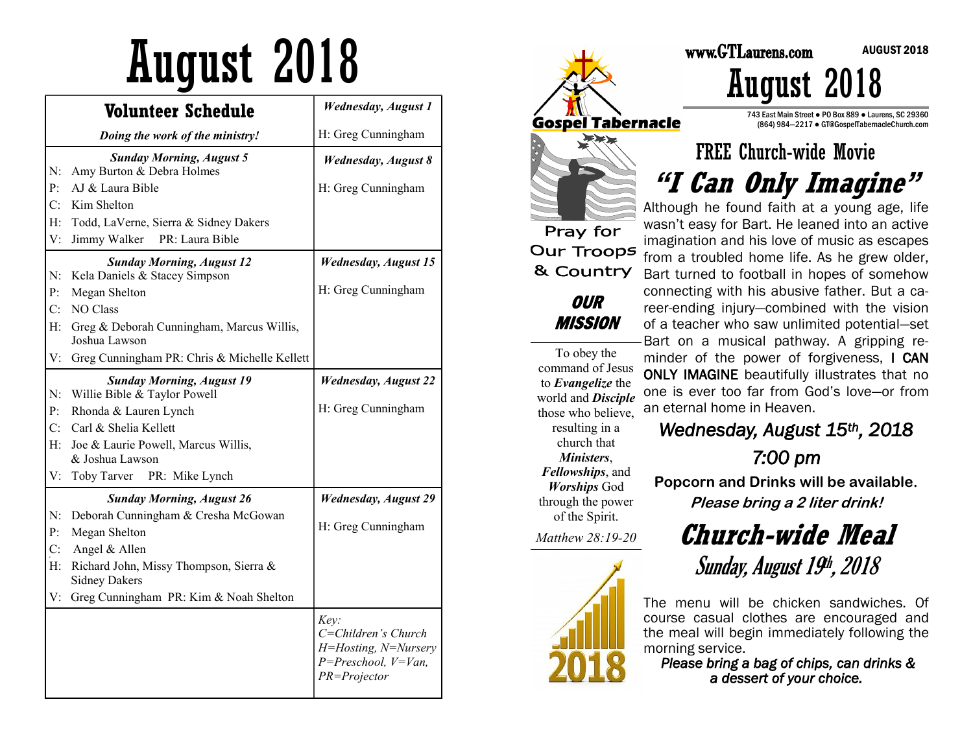# August 2018 Martin 2018

|    | <b>Volunteer Schedule</b>                                        | <b>Wednesday, August 1</b>                                                                     |
|----|------------------------------------------------------------------|------------------------------------------------------------------------------------------------|
|    | Doing the work of the ministry!                                  | H: Greg Cunningham                                                                             |
| N: | <b>Sunday Morning, August 5</b><br>Amy Burton & Debra Holmes     | <b>Wednesday, August 8</b>                                                                     |
| P: | AJ & Laura Bible                                                 | H: Greg Cunningham                                                                             |
| C: | Kim Shelton                                                      |                                                                                                |
| H: | Todd, LaVerne, Sierra & Sidney Dakers                            |                                                                                                |
| V: | Jimmy Walker<br>PR: Laura Bible                                  |                                                                                                |
|    | <b>Sunday Morning, August 12</b>                                 | <b>Wednesday, August 15</b>                                                                    |
| N: | Kela Daniels & Stacey Simpson                                    |                                                                                                |
| P: | Megan Shelton                                                    | H: Greg Cunningham                                                                             |
| C: | NO Class                                                         |                                                                                                |
| H: | Greg & Deborah Cunningham, Marcus Willis,<br>Joshua Lawson       |                                                                                                |
| V: | Greg Cunningham PR: Chris & Michelle Kellett                     |                                                                                                |
| N: | <b>Sunday Morning, August 19</b><br>Willie Bible & Taylor Powell | <b>Wednesday, August 22</b>                                                                    |
| P: | Rhonda & Lauren Lynch                                            | H: Greg Cunningham                                                                             |
| C: | Carl & Shelia Kellett                                            |                                                                                                |
| H: | Joe & Laurie Powell, Marcus Willis,                              |                                                                                                |
|    | & Joshua Lawson                                                  |                                                                                                |
| V: | Toby Tarver<br>PR: Mike Lynch                                    |                                                                                                |
|    | <b>Sunday Morning, August 26</b>                                 | <b>Wednesday, August 29</b>                                                                    |
| N: | Deborah Cunningham & Cresha McGowan                              |                                                                                                |
| P: | Megan Shelton                                                    | H: Greg Cunningham                                                                             |
| C: | Angel & Allen                                                    |                                                                                                |
| H: | Richard John, Missy Thompson, Sierra &<br><b>Sidney Dakers</b>   |                                                                                                |
| V: | Greg Cunningham PR: Kim & Noah Shelton                           |                                                                                                |
|    |                                                                  | Key:<br>C=Children's Church<br>H=Hosting, N=Nursery<br>$P = Preschool, V=Van,$<br>PR=Projector |



743 East Main Street ● PO Box 889 ● Laurens, SC 29360 (864) 984—2217 ● GT@GospelTabernacleChurch.com

### FREE Church-wide Movie **"I Can Only Imagine"**

Although he found faith at a young age, life wasn't easy for Bart. He leaned into an active imagination and his love of music as escapes from a troubled home life. As he grew older, Bart turned to football in hopes of somehow connecting with his abusive father. But a career-ending injury—combined with the vision of a teacher who saw unlimited potential—set Bart on a musical pathway. A gripping reminder of the power of forgiveness, I CAN ONLY IMAGINE beautifully illustrates that no one is ever too far from God's love—or from an eternal home in Heaven.

*Wednesday, August 15th, 2018* 

*7:00 pm*

**Popcorn and Drinks will be available. Please bring a 2 liter drink!**

> **Church-wide Meal** Sunday, August 19<sup>h</sup>, 2018

The menu will be chicken sandwiches. Of course casual clothes are encouraged and the meal will begin immediately following the morning service.

*Please bring a bag of chips, can drinks & a dessert of your choice.*